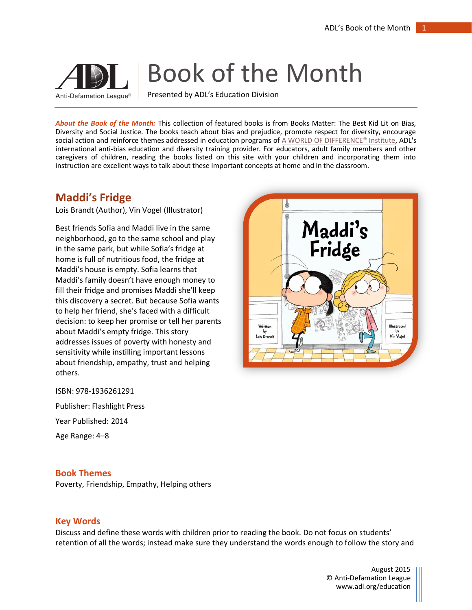# Book of the Month

Anti-Defamation League®

Presented by ADL's Education Division

*About the Book of the Month:* This collection of featured books is from Books Matter: The Best Kid Lit on Bias, Diversity and Social Justice. The books teach about bias and prejudice, promote respect for diversity, encourage social action and reinforce themes addressed in education programs of [A WORLD OF DIFFERENCE® Institute,](http://www.adl.org/education-outreach/anti-bias-education/c/a-world-of-difference.html) ADL's international anti-bias education and diversity training provider. For educators, adult family members and other caregivers of children, reading the books listed on this site with your children and incorporating them into instruction are excellent ways to talk about these important concepts at home and in the classroom.

## **Maddi's Fridge**

Lois Brandt (Author), Vin Vogel (Illustrator)

Best friends Sofia and Maddi live in the same neighborhood, go to the same school and play in the same park, but while Sofia's fridge at home is full of nutritious food, the fridge at Maddi's house is empty. Sofia learns that Maddi's family doesn't have enough money to fill their fridge and promises Maddi she'll keep this discovery a secret. But because Sofia wants to help her friend, she's faced with a difficult decision: to keep her promise or tell her parents about Maddi's empty fridge. This story addresses issues of poverty with honesty and sensitivity while instilling important lessons about friendship, empathy, trust and helping others.



Age Range: 4–8

#### **Book Themes**

Poverty, Friendship, Empathy, Helping others

### **Key Words**

Discuss and define these words with children prior to reading the book. Do not focus on students' retention of all the words; instead make sure they understand the words enough to follow the story and

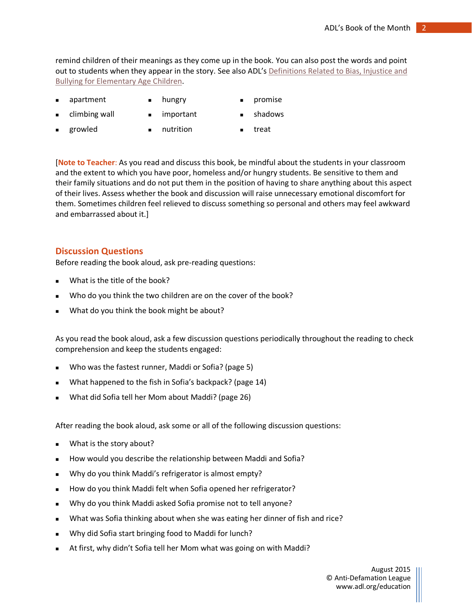remind children of their meanings as they come up in the book. You can also post the words and point out to students when they appear in the story. See also ADL's Definitions Related to Bias, Injustice and [Bullying for Elementary Age Children.](http://www.adl.org/education-outreach/curriculum-resources/c/definitions-related-to-bias-injustice-bullying.html#.VZvrQflVhHy)

- $apartment$  **n** hungry **promise** 
	-
- climbing wall  $\qquad \qquad \blacksquare$  important  $\qquad \blacksquare$  shadows
	-
	- growled **a** nutrition **a** treat

[**Note to Teacher**: As you read and discuss this book, be mindful about the students in your classroom and the extent to which you have poor, homeless and/or hungry students. Be sensitive to them and their family situations and do not put them in the position of having to share anything about this aspect of their lives. Assess whether the book and discussion will raise unnecessary emotional discomfort for them. Sometimes children feel relieved to discuss something so personal and others may feel awkward and embarrassed about it.]

#### **Discussion Questions**

Before reading the book aloud, ask pre-reading questions:

- What is the title of the book?
- Who do you think the two children are on the cover of the book?
- What do you think the book might be about?

As you read the book aloud, ask a few discussion questions periodically throughout the reading to check comprehension and keep the students engaged:

- Who was the fastest runner, Maddi or Sofia? (page 5)
- What happened to the fish in Sofia's backpack? (page 14)
- What did Sofia tell her Mom about Maddi? (page 26)

After reading the book aloud, ask some or all of the following discussion questions:

- **No.** What is the story about?
- How would you describe the relationship between Maddi and Sofia?
- Why do you think Maddi's refrigerator is almost empty?
- How do you think Maddi felt when Sofia opened her refrigerator?
- Why do you think Maddi asked Sofia promise not to tell anyone?
- What was Sofia thinking about when she was eating her dinner of fish and rice?
- Why did Sofia start bringing food to Maddi for lunch?
- At first, why didn't Sofia tell her Mom what was going on with Maddi?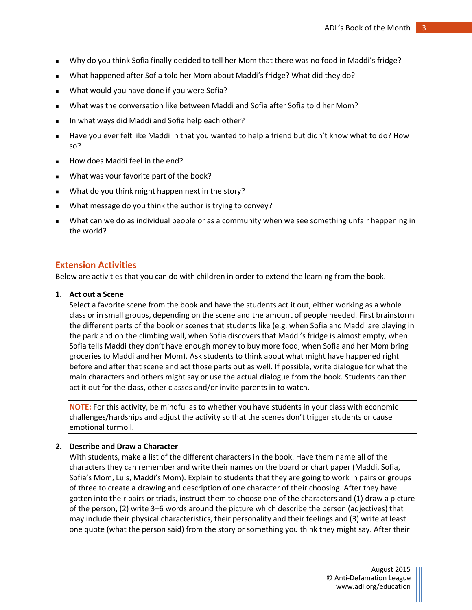- Why do you think Sofia finally decided to tell her Mom that there was no food in Maddi's fridge?
- What happened after Sofia told her Mom about Maddi's fridge? What did they do?
- What would you have done if you were Sofia?
- What was the conversation like between Maddi and Sofia after Sofia told her Mom?
- In what ways did Maddi and Sofia help each other?
- Have you ever felt like Maddi in that you wanted to help a friend but didn't know what to do? How so?
- How does Maddi feel in the end?
- What was your favorite part of the book?
- What do you think might happen next in the story?
- What message do you think the author is trying to convey?
- What can we do as individual people or as a community when we see something unfair happening in the world?

#### **Extension Activities**

Below are activities that you can do with children in order to extend the learning from the book.

#### **1. Act out a Scene**

Select a favorite scene from the book and have the students act it out, either working as a whole class or in small groups, depending on the scene and the amount of people needed. First brainstorm the different parts of the book or scenes that students like (e.g. when Sofia and Maddi are playing in the park and on the climbing wall, when Sofia discovers that Maddi's fridge is almost empty, when Sofia tells Maddi they don't have enough money to buy more food, when Sofia and her Mom bring groceries to Maddi and her Mom). Ask students to think about what might have happened right before and after that scene and act those parts out as well. If possible, write dialogue for what the main characters and others might say or use the actual dialogue from the book. Students can then act it out for the class, other classes and/or invite parents in to watch.

**NOTE:** For this activity, be mindful as to whether you have students in your class with economic challenges/hardships and adjust the activity so that the scenes don't trigger students or cause emotional turmoil.

#### **2. Describe and Draw a Character**

With students, make a list of the different characters in the book. Have them name all of the characters they can remember and write their names on the board or chart paper (Maddi, Sofia, Sofia's Mom, Luis, Maddi's Mom). Explain to students that they are going to work in pairs or groups of three to create a drawing and description of one character of their choosing. After they have gotten into their pairs or triads, instruct them to choose one of the characters and (1) draw a picture of the person, (2) write 3–6 words around the picture which describe the person (adjectives) that may include their physical characteristics, their personality and their feelings and (3) write at least one quote (what the person said) from the story or something you think they might say. After their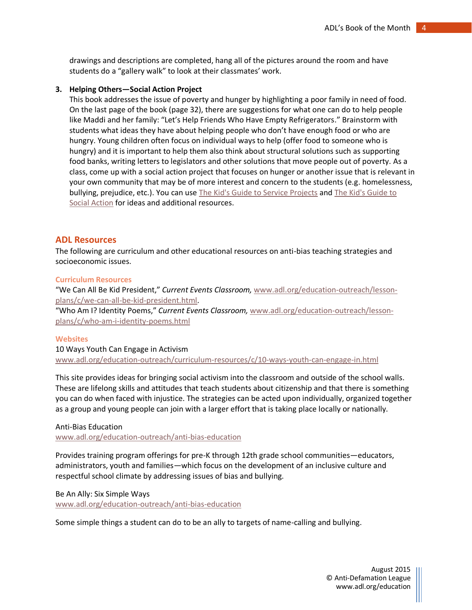drawings and descriptions are completed, hang all of the pictures around the room and have students do a "gallery walk" to look at their classmates' work.

#### **3. Helping Others—Social Action Project**

This book addresses the issue of poverty and hunger by highlighting a poor family in need of food. On the last page of the book (page 32), there are suggestions for what one can do to help people like Maddi and her family: "Let's Help Friends Who Have Empty Refrigerators." Brainstorm with students what ideas they have about helping people who don't have enough food or who are hungry. Young children often focus on individual ways to help (offer food to someone who is hungry) and it is important to help them also think about structural solutions such as supporting food banks, writing letters to legislators and other solutions that move people out of poverty. As a class, come up with a social action project that focuses on hunger or another issue that is relevant in your own community that may be of more interest and concern to the students (e.g. homelessness, bullying, prejudice, etc.). You can use [The Kid's Guide to Service Projects](http://www.adl.org/education-outreach/books-matter/books/the-kids-guide-to-service-projects.html) and [The Kid's Guide to](http://www.adl.org/education-outreach/books-matter/books/the-kids-guide-to-social-action.html)  [Social Action](http://www.adl.org/education-outreach/books-matter/books/the-kids-guide-to-social-action.html) for ideas and additional resources.

#### **ADL Resources**

The following are curriculum and other educational resources on anti-bias teaching strategies and socioeconomic issues.

#### **Curriculum Resources**

"We Can All Be Kid President," *Current Events Classroom,* [www.adl.org/education-outreach/lesson](http://www.adl.org/education-outreach/lesson-plans/c/we-can-all-be-kid-president.html)[plans/c/we-can-all-be-kid-president.html.](http://www.adl.org/education-outreach/lesson-plans/c/we-can-all-be-kid-president.html)

"Who Am I? Identity Poems," *Current Events Classroom,* [www.adl.org/education-outreach/lesson](http://www.adl.org/education-outreach/lesson-plans/c/who-am-i-identity-poems.html)[plans/c/who-am-i-identity-poems.html](http://www.adl.org/education-outreach/lesson-plans/c/who-am-i-identity-poems.html)

#### **Websites**

10 Ways Youth Can Engage in Activism [www.adl.org/education-outreach/curriculum-resources/c/10-ways-youth-can-engage-in.html](http://www.adl.org/education-outreach/curriculum-resources/c/10-ways-youth-can-engage-in.html)

This site provides ideas for bringing social activism into the classroom and outside of the school walls. These are lifelong skills and attitudes that teach students about citizenship and that there is something you can do when faced with injustice. The strategies can be acted upon individually, organized together as a group and young people can join with a larger effort that is taking place locally or nationally.

Anti-Bias Education

[www.adl.org/education-outreach/anti-bias-education](http://www.adl.org/education-outreach/anti-bias-education)

Provides training program offerings for pre-K through 12th grade school communities—educators, administrators, youth and families—which focus on the development of an inclusive culture and respectful school climate by addressing issues of bias and bullying.

Be An Ally: Six Simple Ways

[www.adl.org/education-outreach/anti-bias-education](http://www.adl.org/education-outreach/anti-bias-education)

Some simple things a student can do to be an ally to targets of name-calling and bullying.